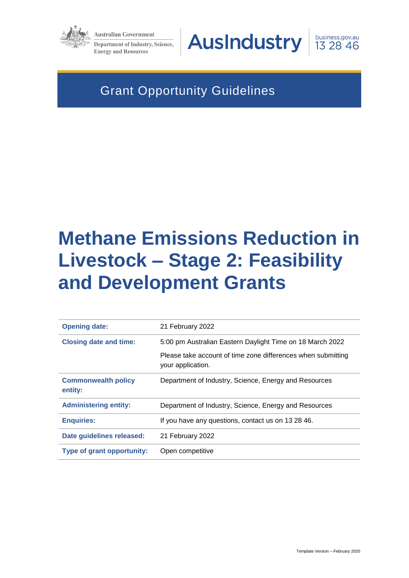

**Australian Government Department of Industry, Science, Energy and Resources** 

**AusIndustry** 

business.gov.au 13 28 46

# Grant Opportunity Guidelines

# **Methane Emissions Reduction in Livestock – Stage 2: Feasibility and Development Grants**

| <b>Opening date:</b>                  | 21 February 2022                                                                  |
|---------------------------------------|-----------------------------------------------------------------------------------|
| <b>Closing date and time:</b>         | 5:00 pm Australian Eastern Daylight Time on 18 March 2022                         |
|                                       | Please take account of time zone differences when submitting<br>your application. |
| <b>Commonwealth policy</b><br>entity: | Department of Industry, Science, Energy and Resources                             |
| <b>Administering entity:</b>          | Department of Industry, Science, Energy and Resources                             |
| <b>Enquiries:</b>                     | If you have any questions, contact us on 13 28 46.                                |
| Date guidelines released:             | 21 February 2022                                                                  |
| <b>Type of grant opportunity:</b>     | Open competitive                                                                  |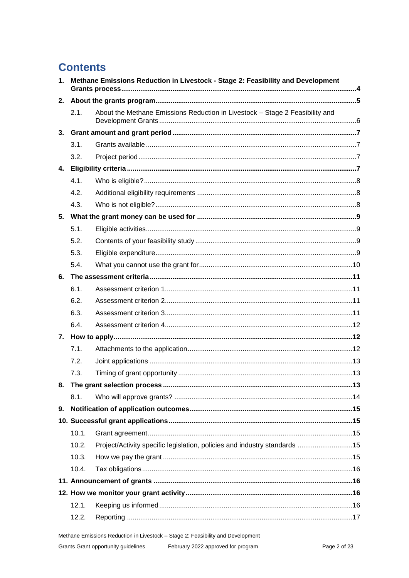# **Contents**

| 1. |       | Methane Emissions Reduction in Livestock - Stage 2: Feasibility and Development |  |  |  |
|----|-------|---------------------------------------------------------------------------------|--|--|--|
| 2. |       |                                                                                 |  |  |  |
|    | 2.1.  | About the Methane Emissions Reduction in Livestock - Stage 2 Feasibility and    |  |  |  |
|    |       |                                                                                 |  |  |  |
|    | 3.1.  |                                                                                 |  |  |  |
|    | 3.2.  |                                                                                 |  |  |  |
|    |       |                                                                                 |  |  |  |
|    | 4.1.  |                                                                                 |  |  |  |
|    | 4.2.  |                                                                                 |  |  |  |
|    | 4.3.  |                                                                                 |  |  |  |
|    |       |                                                                                 |  |  |  |
|    | 5.1.  |                                                                                 |  |  |  |
|    | 5.2.  |                                                                                 |  |  |  |
|    | 5.3.  |                                                                                 |  |  |  |
|    | 5.4.  |                                                                                 |  |  |  |
| 6. |       |                                                                                 |  |  |  |
|    | 6.1.  |                                                                                 |  |  |  |
|    | 6.2.  |                                                                                 |  |  |  |
|    | 6.3.  |                                                                                 |  |  |  |
|    | 6.4.  |                                                                                 |  |  |  |
|    |       |                                                                                 |  |  |  |
|    | 7.1.  |                                                                                 |  |  |  |
|    | 7.2.  |                                                                                 |  |  |  |
|    | 7.3.  |                                                                                 |  |  |  |
|    |       |                                                                                 |  |  |  |
|    | 8.1.  |                                                                                 |  |  |  |
| 9. |       |                                                                                 |  |  |  |
|    |       |                                                                                 |  |  |  |
|    | 10.1. |                                                                                 |  |  |  |
|    | 10.2. | Project/Activity specific legislation, policies and industry standards 15       |  |  |  |
|    | 10.3. |                                                                                 |  |  |  |
|    | 10.4. |                                                                                 |  |  |  |
|    |       |                                                                                 |  |  |  |
|    |       |                                                                                 |  |  |  |
|    | 12.1. |                                                                                 |  |  |  |
|    | 12.2. |                                                                                 |  |  |  |

Methane Emissions Reduction in Livestock - Stage 2: Feasibility and Development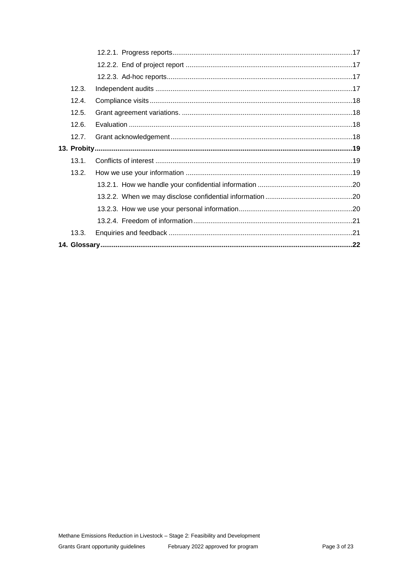| 12.3. |  |
|-------|--|
| 12.4. |  |
| 12.5. |  |
| 12.6. |  |
| 12.7. |  |
|       |  |
| 13.1. |  |
| 13.2. |  |
|       |  |
|       |  |
|       |  |
|       |  |
| 13.3. |  |
|       |  |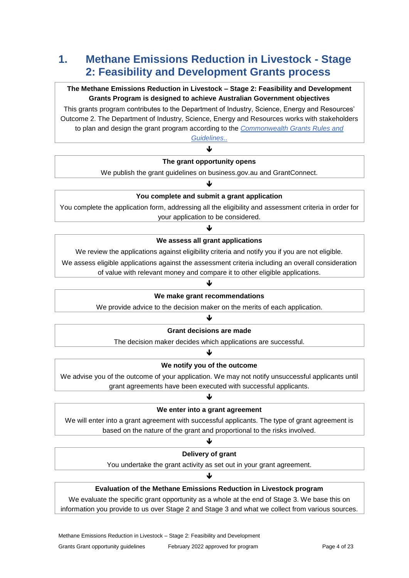# **1. Methane Emissions Reduction in Livestock - Stage 2: Feasibility and Development Grants process**

# **The Methane Emissions Reduction in Livestock – Stage 2: Feasibility and Development Grants Program is designed to achieve Australian Government objectives**

This grants program contributes to the Department of Industry, Science, Energy and Resources' Outcome 2. The Department of Industry, Science, Energy and Resources works with stakeholders to plan and design the grant program according to the *[Commonwealth Grants Rules and](https://www.finance.gov.au/government/commonwealth-grants/commonwealth-grants-rules-guidelines)* 

*[Guidelines](https://www.finance.gov.au/government/commonwealth-grants/commonwealth-grants-rules-guidelines)*.. 业

#### **The grant opportunity opens**

We publish the grant guidelines on business.gov.au and GrantConnect.

# ↓

#### **You complete and submit a grant application**

You complete the application form, addressing all the eligibility and assessment criteria in order for your application to be considered.

# J **We assess all grant applications**

We review the applications against eligibility criteria and notify you if you are not eligible.

We assess eligible applications against the assessment criteria including an overall consideration

of value with relevant money and compare it to other eligible applications.

# ↓ **We make grant recommendations**

We provide advice to the decision maker on the merits of each application.

# ♥

#### **Grant decisions are made**

The decision maker decides which applications are successful. ↓

# **We notify you of the outcome**

We advise you of the outcome of your application. We may not notify unsuccessful applicants until grant agreements have been executed with successful applicants.

# J **We enter into a grant agreement**

We will enter into a grant agreement with successful applicants. The type of grant agreement is based on the nature of the grant and proportional to the risks involved.

#### ↓

#### **Delivery of grant**

You undertake the grant activity as set out in your grant agreement. J

### **Evaluation of the Methane Emissions Reduction in Livestock program**

We evaluate the specific grant opportunity as a whole at the end of Stage 3. We base this on information you provide to us over Stage 2 and Stage 3 and what we collect from various sources.

Methane Emissions Reduction in Livestock – Stage 2: Feasibility and Development Grants Grant opportunity guidelines February 2022 approved for program Page 4 of 23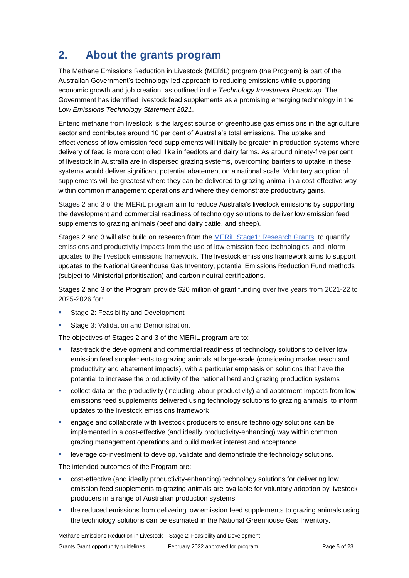# **2. About the grants program**

The Methane Emissions Reduction in Livestock (MERiL) program (the Program) is part of the Australian Government's technology-led approach to reducing emissions while supporting economic growth and job creation, as outlined in the *Technology Investment Roadmap*. The Government has identified livestock feed supplements as a promising emerging technology in the *Low Emissions Technology Statement 2021*.

Enteric methane from livestock is the largest source of greenhouse gas emissions in the agriculture sector and contributes around 10 per cent of Australia's total emissions. The uptake and effectiveness of low emission feed supplements will initially be greater in production systems where delivery of feed is more controlled, like in feedlots and dairy farms. As around ninety-five per cent of livestock in Australia are in dispersed grazing systems, overcoming barriers to uptake in these systems would deliver significant potential abatement on a national scale. Voluntary adoption of supplements will be greatest where they can be delivered to grazing animal in a cost-effective way within common management operations and where they demonstrate productivity gains.

Stages 2 and 3 of the MERiL program aim to reduce Australia's livestock emissions by supporting the development and commercial readiness of technology solutions to deliver low emission feed supplements to grazing animals (beef and dairy cattle, and sheep).

Stages 2 and 3 will also build on research from the MERiL [Stage1: Research Grants](https://business.gov.au/grants-and-programs/methane-emission-reduction-in-livestock)*,* to quantify emissions and productivity impacts from the use of low emission feed technologies, and inform updates to the livestock emissions framework. The livestock emissions framework aims to support updates to the National Greenhouse Gas Inventory, potential Emissions Reduction Fund methods (subject to Ministerial prioritisation) and carbon neutral certifications.

Stages 2 and 3 of the Program provide \$20 million of grant funding over five years from 2021-22 to 2025-2026 for:

- Stage 2: Feasibility and Development
- Stage 3: Validation and Demonstration.

The objectives of Stages 2 and 3 of the MERiL program are to:

- **fast-track the development and commercial readiness of technology solutions to deliver low** emission feed supplements to grazing animals at large-scale (considering market reach and productivity and abatement impacts), with a particular emphasis on solutions that have the potential to increase the productivity of the national herd and grazing production systems
- collect data on the productivity (including labour productivity) and abatement impacts from low emissions feed supplements delivered using technology solutions to grazing animals, to inform updates to the livestock emissions framework
- **EXEC** engage and collaborate with livestock producers to ensure technology solutions can be implemented in a cost-effective (and ideally productivity-enhancing) way within common grazing management operations and build market interest and acceptance
- leverage co-investment to develop, validate and demonstrate the technology solutions.

The intended outcomes of the Program are:

- cost-effective (and ideally productivity-enhancing) technology solutions for delivering low emission feed supplements to grazing animals are available for voluntary adoption by livestock producers in a range of Australian production systems
- the reduced emissions from delivering low emission feed supplements to grazing animals using the technology solutions can be estimated in the National Greenhouse Gas Inventory.

Methane Emissions Reduction in Livestock – Stage 2: Feasibility and Development Grants Grant opportunity quidelines February 2022 approved for program Feage 5 of 23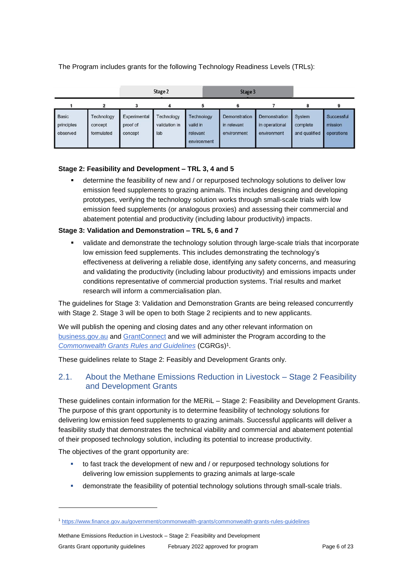The Program includes grants for the following Technology Readiness Levels (TRLs):

|                                        |                                     |                                     | Stage 2                            |                                                   | Stage 3                                     |                                                |                                     |                                     |
|----------------------------------------|-------------------------------------|-------------------------------------|------------------------------------|---------------------------------------------------|---------------------------------------------|------------------------------------------------|-------------------------------------|-------------------------------------|
|                                        | 2                                   |                                     |                                    |                                                   |                                             |                                                |                                     |                                     |
| <b>Basic</b><br>principles<br>observed | Technology<br>concept<br>formulated | Experimental<br>proof of<br>concept | Technology<br>validation in<br>lab | Technology<br>valid in<br>relevant<br>environment | Demonstration<br>in relevant<br>environment | Demonstration<br>in operational<br>environment | System<br>complete<br>and qualified | Successful<br>mission<br>operations |

#### **Stage 2: Feasibility and Development – TRL 3, 4 and 5**

 determine the feasibility of new and / or repurposed technology solutions to deliver low emission feed supplements to grazing animals. This includes designing and developing prototypes, verifying the technology solution works through small-scale trials with low emission feed supplements (or analogous proxies) and assessing their commercial and abatement potential and productivity (including labour productivity) impacts.

#### **Stage 3: Validation and Demonstration – TRL 5, 6 and 7**

 validate and demonstrate the technology solution through large-scale trials that incorporate low emission feed supplements. This includes demonstrating the technology's effectiveness at delivering a reliable dose, identifying any safety concerns, and measuring and validating the productivity (including labour productivity) and emissions impacts under conditions representative of commercial production systems. Trial results and market research will inform a commercialisation plan.

The guidelines for Stage 3: Validation and Demonstration Grants are being released concurrently with Stage 2. Stage 3 will be open to both Stage 2 recipients and to new applicants.

We will publish the opening and closing dates and any other relevant information on [business.gov.au](https://www.business.gov.au/) and [GrantConnect](https://www.grants.gov.au/) and we will administer the Program according to the *[Commonwealth Grants Rules and Guidelines](https://www.finance.gov.au/government/commonwealth-grants/commonwealth-grants-rules-guidelines)* (CGRGs)<sup>1</sup> .

These guidelines relate to Stage 2: Feasibly and Development Grants only.

# 2.1. About the Methane Emissions Reduction in Livestock – Stage 2 Feasibility and Development Grants

These guidelines contain information for the MERiL – Stage 2: Feasibility and Development Grants. The purpose of this grant opportunity is to determine feasibility of technology solutions for delivering low emission feed supplements to grazing animals. Successful applicants will deliver a feasibility study that demonstrates the technical viability and commercial and abatement potential of their proposed technology solution, including its potential to increase productivity.

The objectives of the grant opportunity are:

-

- to fast track the development of new and / or repurposed technology solutions for delivering low emission supplements to grazing animals at large-scale
- demonstrate the feasibility of potential technology solutions through small-scale trials.

<sup>1</sup> <https://www.finance.gov.au/government/commonwealth-grants/commonwealth-grants-rules-guidelines>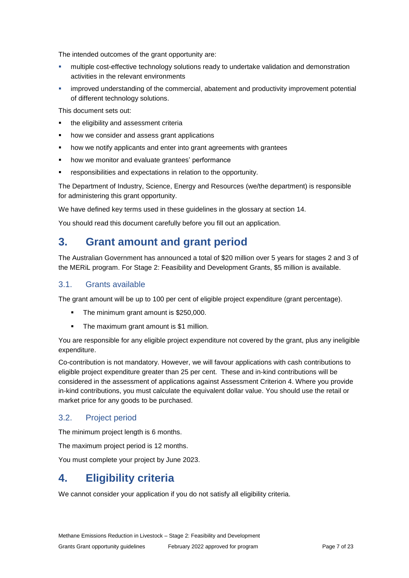The intended outcomes of the grant opportunity are:

- multiple cost-effective technology solutions ready to undertake validation and demonstration activities in the relevant environments
- improved understanding of the commercial, abatement and productivity improvement potential of different technology solutions.

This document sets out:

- **the eligibility and assessment criterially**
- how we consider and assess grant applications
- how we notify applicants and enter into grant agreements with grantees
- how we monitor and evaluate grantees' performance
- responsibilities and expectations in relation to the opportunity.

The Department of Industry, Science, Energy and Resources (we/the department) is responsible for administering this grant opportunity.

We have defined key terms used in these guidelines in the glossary at section [14.](#page-21-0)

You should read this document carefully before you fill out an application.

# **3. Grant amount and grant period**

The Australian Government has announced a total of \$20 million over 5 years for stages 2 and 3 of the MERiL program. For Stage 2: Feasibility and Development Grants, \$5 million is available.

### 3.1. Grants available

The grant amount will be up to 100 per cent of eligible project expenditure (grant percentage).

- The minimum grant amount is \$250,000.
- The maximum grant amount is \$1 million.

You are responsible for any eligible project expenditure not covered by the grant, plus any ineligible expenditure.

Co-contribution is not mandatory. However, we will favour applications with cash contributions to eligible project expenditure greater than 25 per cent. These and in-kind contributions will be considered in the assessment of applications against Assessment Criterion 4. Where you provide in-kind contributions, you must calculate the equivalent dollar value. You should use the retail or market price for any goods to be purchased.

### 3.2. Project period

The minimum project length is 6 months.

The maximum project period is 12 months.

You must complete your project by June 2023.

# **4. Eligibility criteria**

We cannot consider your application if you do not satisfy all eligibility criteria.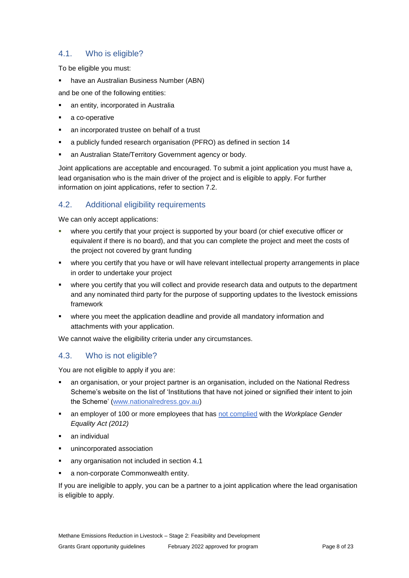# <span id="page-7-0"></span>4.1. Who is eligible?

To be eligible you must:

have an Australian Business Number (ABN)

and be one of the following entities:

- an entity, incorporated in Australia
- a co-operative
- an incorporated trustee on behalf of a trust
- a publicly funded research organisation (PFRO) as defined in section [14](#page-21-0)
- an Australian State/Territory Government agency or body.

Joint applications are acceptable and encouraged. To submit a joint application you must have a, lead organisation who is the main driver of the project and is eligible to apply. For further information on joint applications, refer to section 7.2.

# 4.2. Additional eligibility requirements

We can only accept applications:

- where you certify that your project is supported by your board (or chief executive officer or equivalent if there is no board), and that you can complete the project and meet the costs of the project not covered by grant funding
- where you certify that you have or will have relevant intellectual property arrangements in place in order to undertake your project
- where you certify that you will collect and provide research data and outputs to the department and any nominated third party for the purpose of supporting updates to the livestock emissions framework
- where you meet the application deadline and provide all mandatory information and attachments with your application.

We cannot waive the eligibility criteria under any circumstances.

# 4.3. Who is not eligible?

You are not eligible to apply if you are:

- an organisation, or your project partner is an organisation, included on the National Redress Scheme's website on the list of 'Institutions that have not joined or signified their intent to join the Scheme' [\(www.nationalredress.gov.au\)](http://www.nationalredress.gov.au/)
- an employer of 100 or more employees that has [not complied](https://www.wgea.gov.au/what-we-do/compliance-reporting/non-compliant-list) with the *Workplace Gender Equality Act (2012)*
- an individual
- unincorporated association
- any organisation not included in section [4.1](#page-7-0)
- a non-corporate Commonwealth entity.

If you are ineligible to apply, you can be a partner to a joint application where the lead organisation is eligible to apply.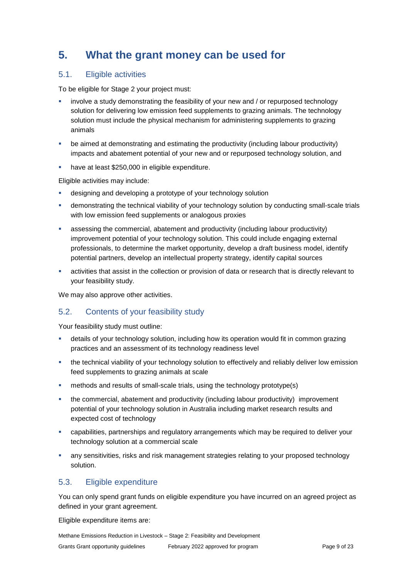# **5. What the grant money can be used for**

# <span id="page-8-0"></span>5.1. Eligible activities

To be eligible for Stage 2 your project must:

- involve a study demonstrating the feasibility of your new and / or repurposed technology solution for delivering low emission feed supplements to grazing animals. The technology solution must include the physical mechanism for administering supplements to grazing animals
- be aimed at demonstrating and estimating the productivity (including labour productivity) impacts and abatement potential of your new and or repurposed technology solution, and
- have at least \$250,000 in eligible expenditure.

Eligible activities may include:

- designing and developing a prototype of your technology solution
- demonstrating the technical viability of your technology solution by conducting small-scale trials with low emission feed supplements or analogous proxies
- assessing the commercial, abatement and productivity (including labour productivity) improvement potential of your technology solution. This could include engaging external professionals, to determine the market opportunity, develop a draft business model, identify potential partners, develop an intellectual property strategy, identify capital sources
- activities that assist in the collection or provision of data or research that is directly relevant to your feasibility study.

We may also approve other activities.

# 5.2. Contents of your feasibility study

Your feasibility study must outline:

- details of your technology solution, including how its operation would fit in common grazing practices and an assessment of its technology readiness level
- the technical viability of your technology solution to effectively and reliably deliver low emission feed supplements to grazing animals at scale
- methods and results of small-scale trials, using the technology prototype(s)
- the commercial, abatement and productivity (including labour productivity) improvement potential of your technology solution in Australia including market research results and expected cost of technology
- capabilities, partnerships and regulatory arrangements which may be required to deliver your technology solution at a commercial scale
- any sensitivities, risks and risk management strategies relating to your proposed technology solution.

### <span id="page-8-1"></span>5.3. Eligible expenditure

You can only spend grant funds on eligible expenditure you have incurred on an agreed project as defined in your grant agreement.

Eligible expenditure items are: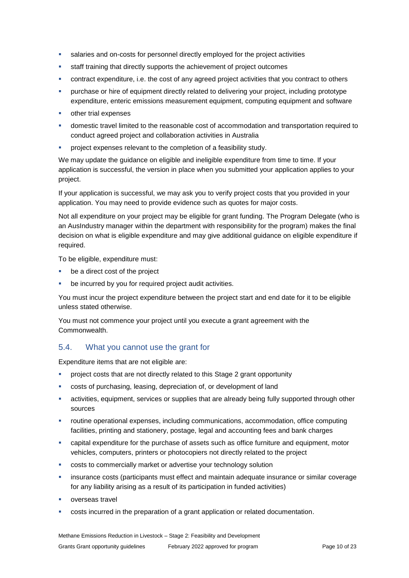- salaries and on-costs for personnel directly employed for the project activities
- staff training that directly supports the achievement of project outcomes
- contract expenditure, i.e. the cost of any agreed project activities that you contract to others
- purchase or hire of equipment directly related to delivering your project, including prototype expenditure, enteric emissions measurement equipment, computing equipment and software
- other trial expenses
- domestic travel limited to the reasonable cost of accommodation and transportation required to conduct agreed project and collaboration activities in Australia
- **•** project expenses relevant to the completion of a feasibility study.

We may update the guidance on eligible and ineligible expenditure from time to time. If your application is successful, the version in place when you submitted your application applies to your project.

If your application is successful, we may ask you to verify project costs that you provided in your application. You may need to provide evidence such as quotes for major costs.

Not all expenditure on your project may be eligible for grant funding. The Program Delegate (who is an AusIndustry manager within the department with responsibility for the program) makes the final decision on what is eligible expenditure and may give additional guidance on eligible expenditure if required.

To be eligible, expenditure must:

- be a direct cost of the project
- be incurred by you for required project audit activities.

You must incur the project expenditure between the project start and end date for it to be eligible unless stated otherwise.

You must not commence your project until you execute a grant agreement with the Commonwealth.

# 5.4. What you cannot use the grant for

Expenditure items that are not eligible are:

- project costs that are not directly related to this Stage 2 grant opportunity
- costs of purchasing, leasing, depreciation of, or development of land
- activities, equipment, services or supplies that are already being fully supported through other sources
- routine operational expenses, including communications, accommodation, office computing facilities, printing and stationery, postage, legal and accounting fees and bank charges
- capital expenditure for the purchase of assets such as office furniture and equipment, motor vehicles, computers, printers or photocopiers not directly related to the project
- costs to commercially market or advertise your technology solution
- **EXECT** insurance costs (participants must effect and maintain adequate insurance or similar coverage for any liability arising as a result of its participation in funded activities)
- overseas travel
- costs incurred in the preparation of a grant application or related documentation.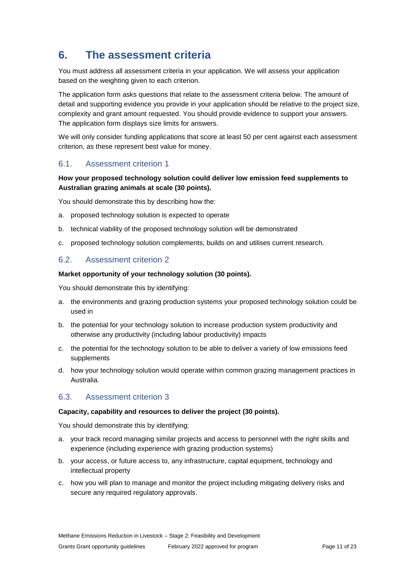# **6. The assessment criteria**

You must address all assessment criteria in your application. We will assess your application based on the weighting given to each criterion.

The application form asks questions that relate to the assessment criteria below. The amount of detail and supporting evidence you provide in your application should be relative to the project size, complexity and grant amount requested. You should provide evidence to support your answers. The application form displays size limits for answers.

We will only consider funding applications that score at least 50 per cent against each assessment criterion, as these represent best value for money.

# 6.1. Assessment criterion 1

#### **How your proposed technology solution could deliver low emission feed supplements to Australian grazing animals at scale (30 points).**

You should demonstrate this by describing how the:

- a. proposed technology solution is expected to operate
- b. technical viability of the proposed technology solution will be demonstrated
- c. proposed technology solution complements, builds on and utilises current research.

# 6.2. Assessment criterion 2

#### **Market opportunity of your technology solution (30 points).**

You should demonstrate this by identifying:

- a. the environments and grazing production systems your proposed technology solution could be used in
- b. the potential for your technology solution to increase production system productivity and otherwise any productivity (including labour productivity) impacts
- c. the potential for the technology solution to be able to deliver a variety of low emissions feed supplements
- d. how your technology solution would operate within common grazing management practices in Australia.

### 6.3. Assessment criterion 3

#### **Capacity, capability and resources to deliver the project (30 points).**

You should demonstrate this by identifying:

- a. your track record managing similar projects and access to personnel with the right skills and experience (including experience with grazing production systems)
- b. your access, or future access to, any infrastructure, capital equipment, technology and intellectual property
- c. how you will plan to manage and monitor the project including mitigating delivery risks and secure any required regulatory approvals.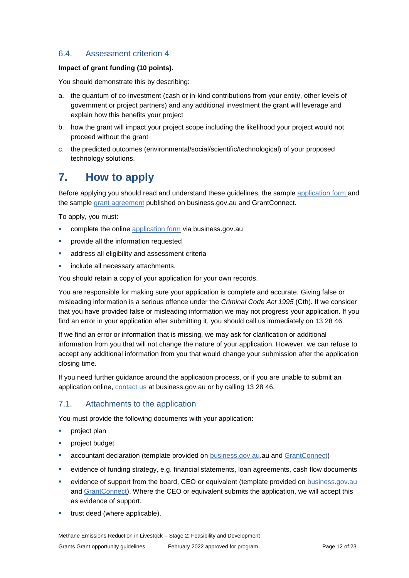# 6.4. Assessment criterion 4

#### **Impact of grant funding (10 points).**

You should demonstrate this by describing:

- a. the quantum of co-investment (cash or in-kind contributions from your entity, other levels of government or project partners) and any additional investment the grant will leverage and explain how this benefits your project
- b. how the grant will impact your project scope including the likelihood your project would not proceed without the grant
- c. the predicted outcomes (environmental/social/scientific/technological) of your proposed technology solutions.

# **7. How to apply**

Before applying you should read and understand these guidelines, the sample [application form](https://business.gov.au/grants-and-programs/methane-emissions-reduction-in-livestock-stage-2#key-documents) and the sample [grant agreement](https://business.gov.au/grants-and-programs/methane-emissions-reduction-in-livestock-stage-2#key-documents) published on business.gov.au and GrantConnect.

To apply, you must:

- complete the online [application form](https://business.gov.au/grants-and-programs/methane-emissions-reduction-in-livestock-stage-2#key-documents) via business.gov.au
- **•** provide all the information requested
- **address all eligibility and assessment criteria**
- include all necessary attachments.

You should retain a copy of your application for your own records.

You are responsible for making sure your application is complete and accurate. Giving false or misleading information is a serious offence under the *Criminal Code Act 1995* (Cth). If we consider that you have provided false or misleading information we may not progress your application. If you find an error in your application after submitting it, you should call us immediately on 13 28 46.

If we find an error or information that is missing, we may ask for clarification or additional information from you that will not change the nature of your application. However, we can refuse to accept any additional information from you that would change your submission after the application closing time.

If you need further guidance around the application process, or if you are unable to submit an application online, [contact us](https://www.business.gov.au/contact-us) at business.gov.au or by calling 13 28 46.

### 7.1. Attachments to the application

You must provide the following documents with your application:

- **project plan**
- project budget
- **Example 2** accountant declaration (template provided on **business.gov.au**.au and **GrantConnect**)
- evidence of funding strategy, e.g. financial statements, loan agreements, cash flow documents
- evidence of support from the board, CEO or equivalent (template provided on [business.gov.au](https://business.gov.au/) and [GrantConnect\)](http://www.grants.gov.au/). Where the CEO or equivalent submits the application, we will accept this as evidence of support.
- **trust deed (where applicable).**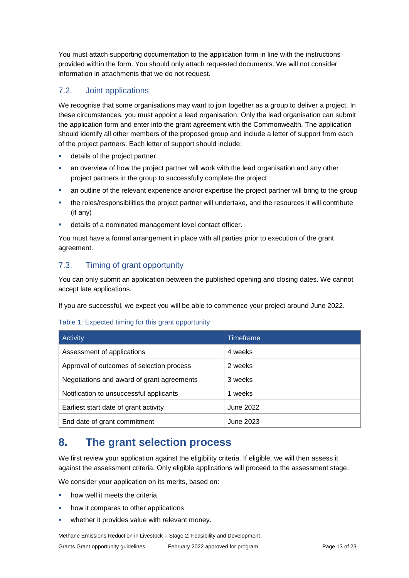You must attach supporting documentation to the application form in line with the instructions provided within the form. You should only attach requested documents. We will not consider information in attachments that we do not request.

# 7.2. Joint applications

We recognise that some organisations may want to join together as a group to deliver a project. In these circumstances, you must appoint a lead organisation. Only the lead organisation can submit the application form and enter into the grant agreement with the Commonwealth. The application should identify all other members of the proposed group and include a letter of support from each of the project partners. Each letter of support should include:

- details of the project partner
- an overview of how the project partner will work with the lead organisation and any other project partners in the group to successfully complete the project
- an outline of the relevant experience and/or expertise the project partner will bring to the group
- the roles/responsibilities the project partner will undertake, and the resources it will contribute (if any)
- details of a nominated management level contact officer.

You must have a formal arrangement in place with all parties prior to execution of the grant agreement.

# 7.3. Timing of grant opportunity

You can only submit an application between the published opening and closing dates. We cannot accept late applications.

If you are successful, we expect you will be able to commence your project around June 2022.

#### Table 1: Expected timing for this grant opportunity

| <b>Activity</b>                            | Timeframe |
|--------------------------------------------|-----------|
| Assessment of applications                 | 4 weeks   |
| Approval of outcomes of selection process  | 2 weeks   |
| Negotiations and award of grant agreements | 3 weeks   |
| Notification to unsuccessful applicants    | 1 weeks   |
| Earliest start date of grant activity      | June 2022 |
| End date of grant commitment               | June 2023 |

# **8. The grant selection process**

We first review your application against the eligibility criteria. If eligible, we will then assess it against the assessment criteria. Only eligible applications will proceed to the assessment stage.

We consider your application on its merits, based on:

- how well it meets the criteria
- how it compares to other applications
- whether it provides value with relevant money.

Methane Emissions Reduction in Livestock – Stage 2: Feasibility and Development Grants Grant opportunity guidelines February 2022 approved for program Page 13 of 23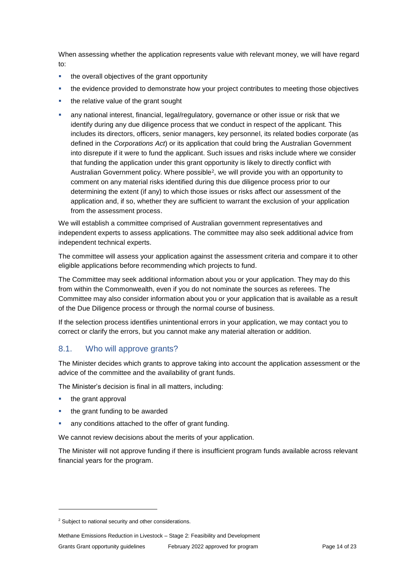When assessing whether the application represents value with relevant money, we will have regard to:

- the overall objectives of the grant opportunity
- the evidence provided to demonstrate how your project contributes to meeting those objectives
- the relative value of the grant sought
- any national interest, financial, legal/regulatory, governance or other issue or risk that we identify during any due diligence process that we conduct in respect of the applicant. This includes its directors, officers, senior managers, key personnel, its related bodies corporate (as defined in the *Corporations Act*) or its application that could bring the Australian Government into disrepute if it were to fund the applicant. Such issues and risks include where we consider that funding the application under this grant opportunity is likely to directly conflict with Australian Government policy. Where possible<sup>2</sup> , we will provide you with an opportunity to comment on any material risks identified during this due diligence process prior to our determining the extent (if any) to which those issues or risks affect our assessment of the application and, if so, whether they are sufficient to warrant the exclusion of your application from the assessment process.

We will establish a committee comprised of Australian government representatives and independent experts to assess applications. The committee may also seek additional advice from independent technical experts.

The committee will assess your application against the assessment criteria and compare it to other eligible applications before recommending which projects to fund.

The Committee may seek additional information about you or your application. They may do this from within the Commonwealth, even if you do not nominate the sources as referees. The Committee may also consider information about you or your application that is available as a result of the Due Diligence process or through the normal course of business.

If the selection process identifies unintentional errors in your application, we may contact you to correct or clarify the errors, but you cannot make any material alteration or addition.

### 8.1. Who will approve grants?

The Minister decides which grants to approve taking into account the application assessment or the advice of the committee and the availability of grant funds.

The Minister's decision is final in all matters, including:

the grant approval

1

- the grant funding to be awarded
- any conditions attached to the offer of grant funding.

We cannot review decisions about the merits of your application.

The Minister will not approve funding if there is insufficient program funds available across relevant financial years for the program.

<sup>&</sup>lt;sup>2</sup> Subject to national security and other considerations.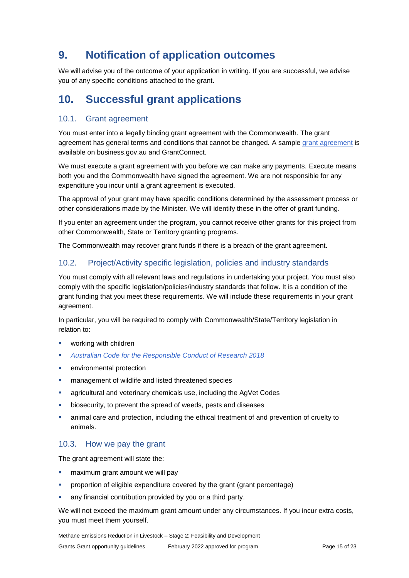# **9. Notification of application outcomes**

We will advise you of the outcome of your application in writing. If you are successful, we advise you of any specific conditions attached to the grant.

# **10. Successful grant applications**

# 10.1. Grant agreement

You must enter into a legally binding grant agreement with the Commonwealth. The grant agreement has general terms and conditions that cannot be changed. A sample [grant agreement](https://business.gov.au/grants-and-programs/methane-emissions-reduction-in-livestock-stage-2#key-documents) is available on business.gov.au and GrantConnect.

We must execute a grant agreement with you before we can make any payments. Execute means both you and the Commonwealth have signed the agreement. We are not responsible for any expenditure you incur until a grant agreement is executed.

The approval of your grant may have specific conditions determined by the assessment process or other considerations made by the Minister. We will identify these in the offer of grant funding.

If you enter an agreement under the program, you cannot receive other grants for this project from other Commonwealth, State or Territory granting programs.

The Commonwealth may recover grant funds if there is a breach of the grant agreement.

# 10.2. Project/Activity specific legislation, policies and industry standards

You must comply with all relevant laws and regulations in undertaking your project. You must also comply with the specific legislation/policies/industry standards that follow. It is a condition of the grant funding that you meet these requirements. We will include these requirements in your grant agreement.

In particular, you will be required to comply with Commonwealth/State/Territory legislation in relation to:

- working with children
- *[Australian Code for the Responsible Conduct of Research 2018](file:///C:/Users/ilambiris/AppData/Local/Microsoft/Windows/INetCache/IE/R78HAWX7/the-australian-code-for-the-responsible-conduct-of-research-2018.pdf)*
- environmental protection
- **EXEC** management of wildlife and listed threatened species
- agricultural and veterinary chemicals use, including the AgVet Codes
- biosecurity, to prevent the spread of weeds, pests and diseases
- animal care and protection, including the ethical treatment of and prevention of cruelty to animals.

# 10.3. How we pay the grant

The grant agreement will state the:

- maximum grant amount we will pay
- proportion of eligible expenditure covered by the grant (grant percentage)
- any financial contribution provided by you or a third party.

We will not exceed the maximum grant amount under any circumstances. If you incur extra costs, you must meet them yourself.

Methane Emissions Reduction in Livestock – Stage 2: Feasibility and Development Grants Grant opportunity guidelines February 2022 approved for program Page 15 of 23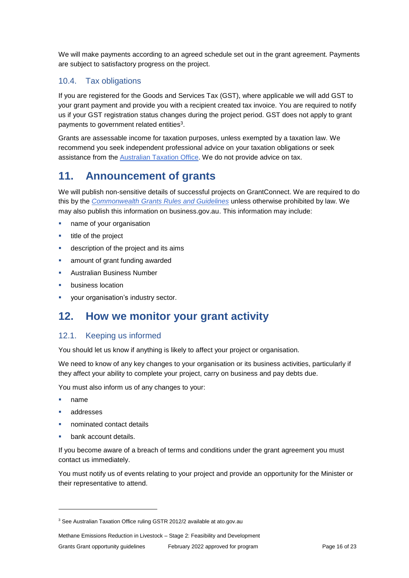We will make payments according to an agreed schedule set out in the grant agreement. Payments are subject to satisfactory progress on the project.

# 10.4. Tax obligations

If you are registered for the Goods and Services Tax (GST), where applicable we will add GST to your grant payment and provide you with a recipient created tax invoice. You are required to notify us if your GST registration status changes during the project period. GST does not apply to grant payments to government related entities<sup>3</sup>.

Grants are assessable income for taxation purposes, unless exempted by a taxation law. We recommend you seek independent professional advice on your taxation obligations or seek assistance from the [Australian Taxation Office.](https://www.ato.gov.au/) We do not provide advice on tax.

# **11. Announcement of grants**

We will publish non-sensitive details of successful projects on GrantConnect. We are required to do this by the *[Commonwealth Grants Rules and Guidelines](https://www.finance.gov.au/government/commonwealth-grants/commonwealth-grants-rules-guidelines)* unless otherwise prohibited by law. We may also publish this information on business.gov.au. This information may include:

- name of your organisation
- **title of the project**
- **description of the project and its aims**
- amount of grant funding awarded
- Australian Business Number
- business location
- **vour organisation's industry sector.**

# **12. How we monitor your grant activity**

# 12.1. Keeping us informed

You should let us know if anything is likely to affect your project or organisation.

We need to know of any key changes to your organisation or its business activities, particularly if they affect your ability to complete your project, carry on business and pay debts due.

You must also inform us of any changes to your:

name

1

- addresses
- nominated contact details
- bank account details.

If you become aware of a breach of terms and conditions under the grant agreement you must contact us immediately.

You must notify us of events relating to your project and provide an opportunity for the Minister or their representative to attend.

Methane Emissions Reduction in Livestock – Stage 2: Feasibility and Development Grants Grant opportunity guidelines February 2022 approved for program Page 16 of 23

<sup>&</sup>lt;sup>3</sup> See Australian Taxation Office ruling GSTR 2012/2 available at ato.gov.au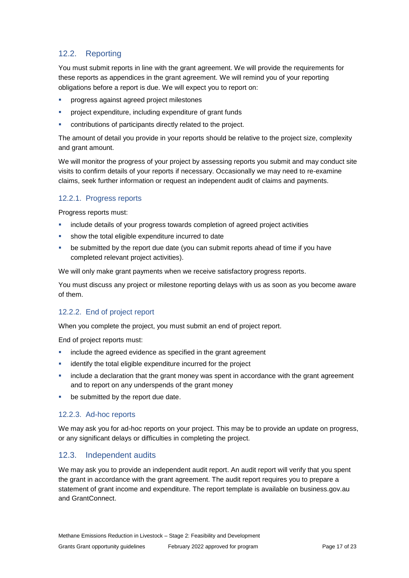# 12.2. Reporting

You must submit reports in line with the [grant agreement.](file://///prod.protected.ind/User/user03/LLau2/insert%20link%20here) We will provide the requirements for these reports as appendices in the grant agreement. We will remind you of your reporting obligations before a report is due. We will expect you to report on:

- progress against agreed project milestones
- project expenditure, including expenditure of grant funds
- contributions of participants directly related to the project.

The amount of detail you provide in your reports should be relative to the project size, complexity and grant amount.

We will monitor the progress of your project by assessing reports you submit and may conduct site visits to confirm details of your reports if necessary. Occasionally we may need to re-examine claims, seek further information or request an independent audit of claims and payments.

### 12.2.1. Progress reports

Progress reports must:

- **·** include details of your progress towards completion of agreed project activities
- **show the total eligible expenditure incurred to date**
- be submitted by the report due date (you can submit reports ahead of time if you have completed relevant project activities).

We will only make grant payments when we receive satisfactory progress reports.

You must discuss any project or milestone reporting delays with us as soon as you become aware of them.

### 12.2.2. End of project report

When you complete the project, you must submit an end of project report.

End of project reports must:

- **EXEDENT** include the agreed evidence as specified in the grant agreement
- **EXEDENT** identify the total eligible expenditure incurred for the project
- include a declaration that the grant money was spent in accordance with the grant agreement and to report on any underspends of the grant money
- be submitted by the report due date.

### 12.2.3. Ad-hoc reports

We may ask you for ad-hoc reports on your project. This may be to provide an update on progress, or any significant delays or difficulties in completing the project.

### 12.3. Independent audits

We may ask you to provide an independent audit report. An audit report will verify that you spent the grant in accordance with the grant agreement. The audit report requires you to prepare a statement of grant income and expenditure. The report template is available on business.gov.au and GrantConnect.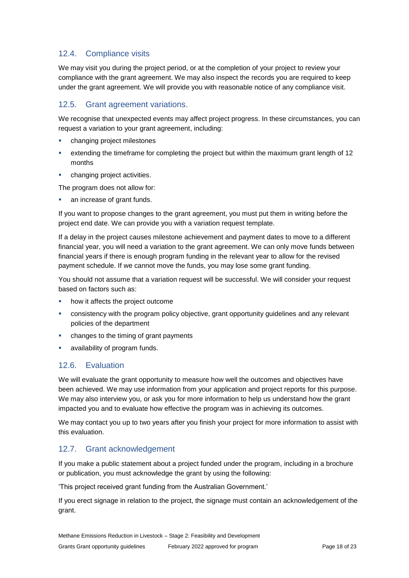# 12.4. Compliance visits

We may visit you during the project period, or at the completion of your project to review your compliance with the grant agreement. We may also inspect the records you are required to keep under the grant agreement. We will provide you with reasonable notice of any compliance visit.

# 12.5. Grant agreement variations.

We recognise that unexpected events may affect project progress. In these circumstances, you can request a variation to your grant agreement, including:

- changing project milestones
- extending the timeframe for completing the project but within the maximum grant length of 12 months
- **•** changing project activities.

The program does not allow for:

**an increase of grant funds.** 

If you want to propose changes to the grant agreement, you must put them in writing before the project end date. We can provide you with a variation request template.

If a delay in the project causes milestone achievement and payment dates to move to a different financial year, you will need a variation to the grant agreement. We can only move funds between financial years if there is enough program funding in the relevant year to allow for the revised payment schedule. If we cannot move the funds, you may lose some grant funding.

You should not assume that a variation request will be successful. We will consider your request based on factors such as:

- how it affects the project outcome
- consistency with the program policy objective, grant opportunity guidelines and any relevant policies of the department
- changes to the timing of grant payments
- availability of program funds.

# 12.6. Evaluation

We will evaluate the grant opportunity to measure how well the outcomes and objectives have been achieved. We may use information from your application and project reports for this purpose. We may also interview you, or ask you for more information to help us understand how the grant impacted you and to evaluate how effective the program was in achieving its outcomes.

We may contact you up to two years after you finish your project for more information to assist with this evaluation.

# 12.7. Grant acknowledgement

If you make a public statement about a project funded under the program, including in a brochure or publication, you must acknowledge the grant by using the following:

'This project received grant funding from the Australian Government.'

If you erect signage in relation to the project, the signage must contain an acknowledgement of the grant.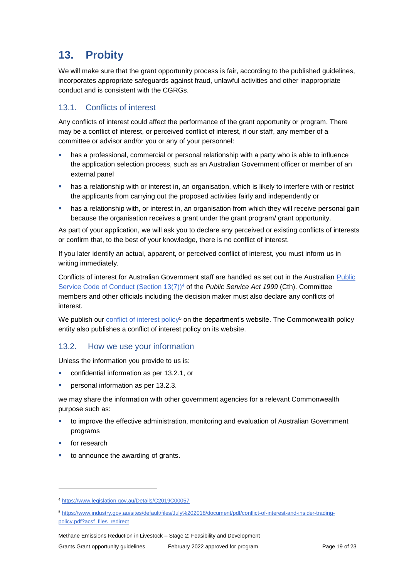# **13. Probity**

We will make sure that the grant opportunity process is fair, according to the published guidelines, incorporates appropriate safeguards against fraud, unlawful activities and other inappropriate conduct and is consistent with the CGRGs.

# 13.1. Conflicts of interest

Any conflicts of interest could affect the performance of the grant opportunity or program. There may be a [conflict of interest,](http://www.apsc.gov.au/publications-and-media/current-publications/aps-values-and-code-of-conduct-in-practice/conflict-of-interest) or perceived conflict of interest, if our staff, any member of a committee or advisor and/or you or any of your personnel:

- **has a professional, commercial or personal relationship with a party who is able to influence** the application selection process, such as an Australian Government officer or member of an external panel
- **•** has a relationship with or interest in, an organisation, which is likely to interfere with or restrict the applicants from carrying out the proposed activities fairly and independently or
- **•** has a relationship with, or interest in, an organisation from which they will receive personal gain because the organisation receives a grant under the grant program/ grant opportunity.

As part of your application, we will ask you to declare any perceived or existing conflicts of interests or confirm that, to the best of your knowledge, there is no conflict of interest.

If you later identify an actual, apparent, or perceived conflict of interest, you must inform us in writing immediately.

Conflicts of interest for Australian Government staff are handled as set out in the Australian [Public](https://www.legislation.gov.au/Details/C2019C00057)  [Service Code of Conduct \(Section 13\(7\)\)](https://www.legislation.gov.au/Details/C2019C00057)<sup>4</sup> of the *Public Service Act 1999* (Cth). Committee members and other officials including the decision maker must also declare any conflicts of interest.

We publish our [conflict of interest policy](https://www.industry.gov.au/sites/g/files/net3906/f/July%202018/document/pdf/conflict-of-interest-and-insider-trading-policy.pdf)<sup>5</sup> on the department's website. The Commonwealth policy entity also publishes a conflict of interest policy on its website.

# 13.2. How we use your information

Unless the information you provide to us is:

- confidential information as per [13.2.1,](#page-19-0) or
- personal information as per [13.2.3.](#page-19-1)

we may share the information with other government agencies for a relevant Commonwealth purpose such as:

- **the improve the effective administration, monitoring and evaluation of Australian Government** programs
- for research

1

to announce the awarding of grants.

<sup>4</sup> https://www.legislation.gov.au/Details/C2019C00057

<sup>5</sup> [https://www.industry.gov.au/sites/default/files/July%202018/document/pdf/conflict-of-interest-and-insider-trading](https://www.industry.gov.au/sites/default/files/July%202018/document/pdf/conflict-of-interest-and-insider-trading-policy.pdf?acsf_files_redirect)[policy.pdf?acsf\\_files\\_redirect](https://www.industry.gov.au/sites/default/files/July%202018/document/pdf/conflict-of-interest-and-insider-trading-policy.pdf?acsf_files_redirect)

Methane Emissions Reduction in Livestock – Stage 2: Feasibility and Development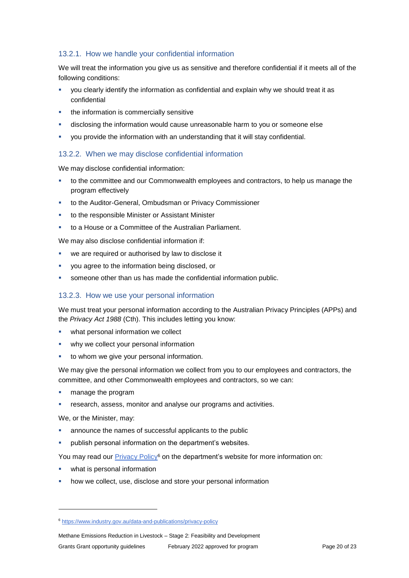### <span id="page-19-0"></span>13.2.1. How we handle your confidential information

We will treat the information you give us as sensitive and therefore confidential if it meets all of the following conditions:

- you clearly identify the information as confidential and explain why we should treat it as confidential
- the information is commercially sensitive
- disclosing the information would cause unreasonable harm to you or someone else
- you provide the information with an understanding that it will stay confidential.

# 13.2.2. When we may disclose confidential information

We may disclose confidential information:

- to the committee and our Commonwealth employees and contractors, to help us manage the program effectively
- to the Auditor-General, Ombudsman or Privacy Commissioner
- to the responsible Minister or Assistant Minister
- to a House or a Committee of the Australian Parliament.

We may also disclose confidential information if:

- we are required or authorised by law to disclose it
- you agree to the information being disclosed, or
- someone other than us has made the confidential information public.

#### <span id="page-19-1"></span>13.2.3. How we use your personal information

We must treat your personal information according to the Australian Privacy Principles (APPs) and the *Privacy Act 1988* (Cth). This includes letting you know:

- what personal information we collect
- why we collect your personal information
- to whom we give your personal information.

We may give the personal information we collect from you to our employees and contractors, the committee, and other Commonwealth employees and contractors, so we can:

- manage the program
- research, assess, monitor and analyse our programs and activities.

We, or the Minister, may:

1

- announce the names of successful applicants to the public
- publish personal information on the department's websites.

You may read our [Privacy Policy](https://www.industry.gov.au/data-and-publications/privacy-policy)<sup>6</sup> on the department's website for more information on:

- what is personal information
- how we collect, use, disclose and store your personal information

<sup>6</sup> <https://www.industry.gov.au/data-and-publications/privacy-policy>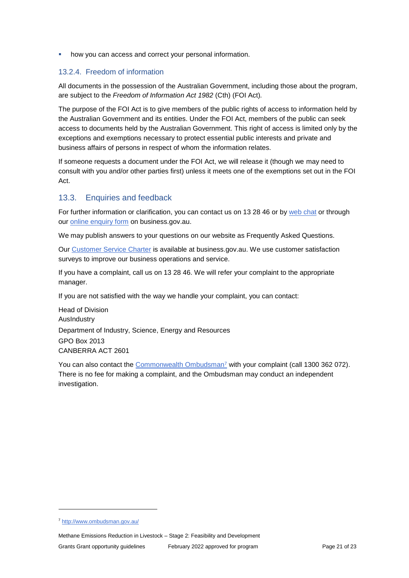how you can access and correct your personal information.

#### 13.2.4. Freedom of information

All documents in the possession of the Australian Government, including those about the program, are subject to the *Freedom of Information Act 1982* (Cth) (FOI Act)*.*

The purpose of the FOI Act is to give members of the public rights of access to information held by the Australian Government and its entities. Under the FOI Act, members of the public can seek access to documents held by the Australian Government. This right of access is limited only by the exceptions and exemptions necessary to protect essential public interests and private and business affairs of persons in respect of whom the information relates.

If someone requests a document under the FOI Act, we will release it (though we may need to consult with you and/or other parties first) unless it meets one of the exemptions set out in the FOI Act.

### 13.3. Enquiries and feedback

For further information or clarification, you can contact us on 13 28 46 or by [web chat](https://www.business.gov.au/contact-us) or through our [online enquiry form](http://www.business.gov.au/contact-us/Pages/default.aspx) on business.gov.au.

We may publish answers to your questions on our website as Frequently Asked Questions.

Our [Customer Service Charter](https://www.business.gov.au/about/customer-service-charter) is available at [business.gov.au.](http://www.business.gov.au/) We use customer satisfaction surveys to improve our business operations and service.

If you have a complaint, call us on 13 28 46. We will refer your complaint to the appropriate manager.

If you are not satisfied with the way we handle your complaint, you can contact:

Head of Division AusIndustry Department of Industry, Science, Energy and Resources GPO Box 2013 CANBERRA ACT 2601

You can also contact the [Commonwealth Ombudsman](http://www.ombudsman.gov.au/)<sup>7</sup> with your complaint (call 1300 362 072). There is no fee for making a complaint, and the Ombudsman may conduct an independent investigation.

1

<sup>7</sup> <http://www.ombudsman.gov.au/>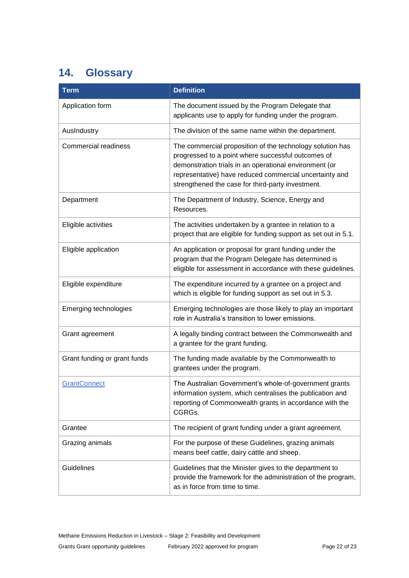# <span id="page-21-0"></span>**14. Glossary**

| <b>Term</b>                  | <b>Definition</b>                                                                                                                                                                                                                                                                         |
|------------------------------|-------------------------------------------------------------------------------------------------------------------------------------------------------------------------------------------------------------------------------------------------------------------------------------------|
| Application form             | The document issued by the Program Delegate that<br>applicants use to apply for funding under the program.                                                                                                                                                                                |
| AusIndustry                  | The division of the same name within the department.                                                                                                                                                                                                                                      |
| <b>Commercial readiness</b>  | The commercial proposition of the technology solution has<br>progressed to a point where successful outcomes of<br>demonstration trials in an operational environment (or<br>representative) have reduced commercial uncertainty and<br>strengthened the case for third-party investment. |
| Department                   | The Department of Industry, Science, Energy and<br>Resources.                                                                                                                                                                                                                             |
| Eligible activities          | The activities undertaken by a grantee in relation to a<br>project that are eligible for funding support as set out in 5.1.                                                                                                                                                               |
| Eligible application         | An application or proposal for grant funding under the<br>program that the Program Delegate has determined is<br>eligible for assessment in accordance with these guidelines.                                                                                                             |
| Eligible expenditure         | The expenditure incurred by a grantee on a project and<br>which is eligible for funding support as set out in 5.3.                                                                                                                                                                        |
| Emerging technologies        | Emerging technologies are those likely to play an important<br>role in Australia's transition to lower emissions.                                                                                                                                                                         |
| Grant agreement              | A legally binding contract between the Commonwealth and<br>a grantee for the grant funding.                                                                                                                                                                                               |
| Grant funding or grant funds | The funding made available by the Commonwealth to<br>grantees under the program.                                                                                                                                                                                                          |
| <b>GrantConnect</b>          | The Australian Government's whole-of-government grants<br>information system, which centralises the publication and<br>reporting of Commonwealth grants in accordance with the<br>CGRGs.                                                                                                  |
| Grantee                      | The recipient of grant funding under a grant agreement.                                                                                                                                                                                                                                   |
| Grazing animals              | For the purpose of these Guidelines, grazing animals<br>means beef cattle, dairy cattle and sheep.                                                                                                                                                                                        |
| Guidelines                   | Guidelines that the Minister gives to the department to<br>provide the framework for the administration of the program,<br>as in force from time to time.                                                                                                                                 |